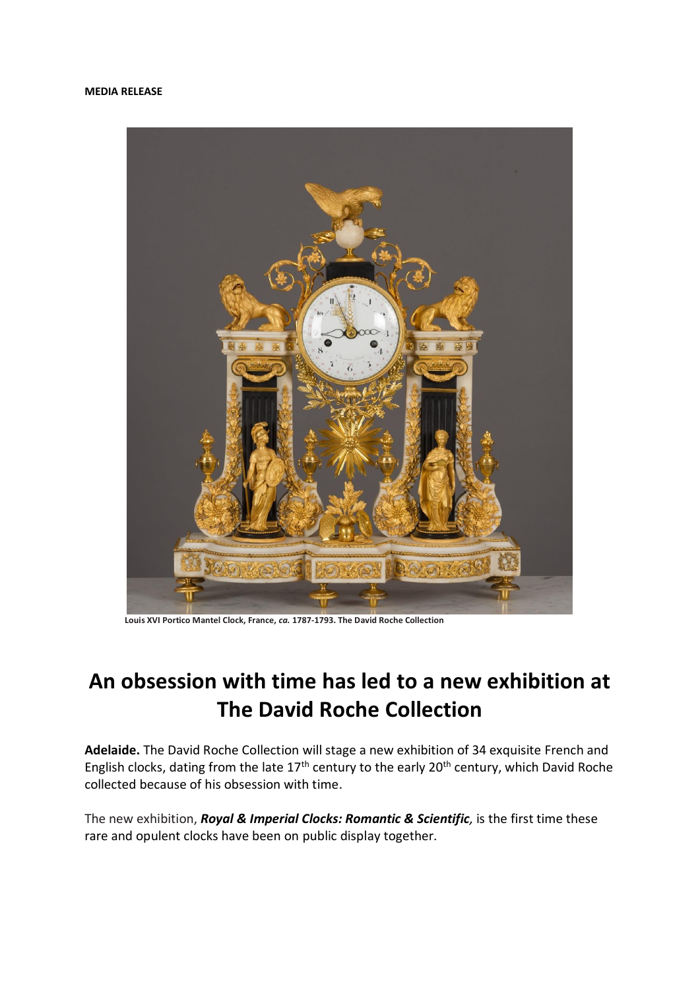## **MEDIA RELEASE**



 **Louis XVI Portico Mantel Clock, France,** *ca.* **1787-1793. The David Roche Collection**

## **An obsession with time has led to a new exhibition at The David Roche Collection**

**Adelaide.** The David Roche Collection will stage a new exhibition of 34 exquisite French and English clocks, dating from the late  $17<sup>th</sup>$  century to the early  $20<sup>th</sup>$  century, which David Roche collected because of his obsession with time.

The new exhibition, *Royal & Imperial Clocks: Romantic & Scientific,* is the first time these rare and opulent clocks have been on public display together.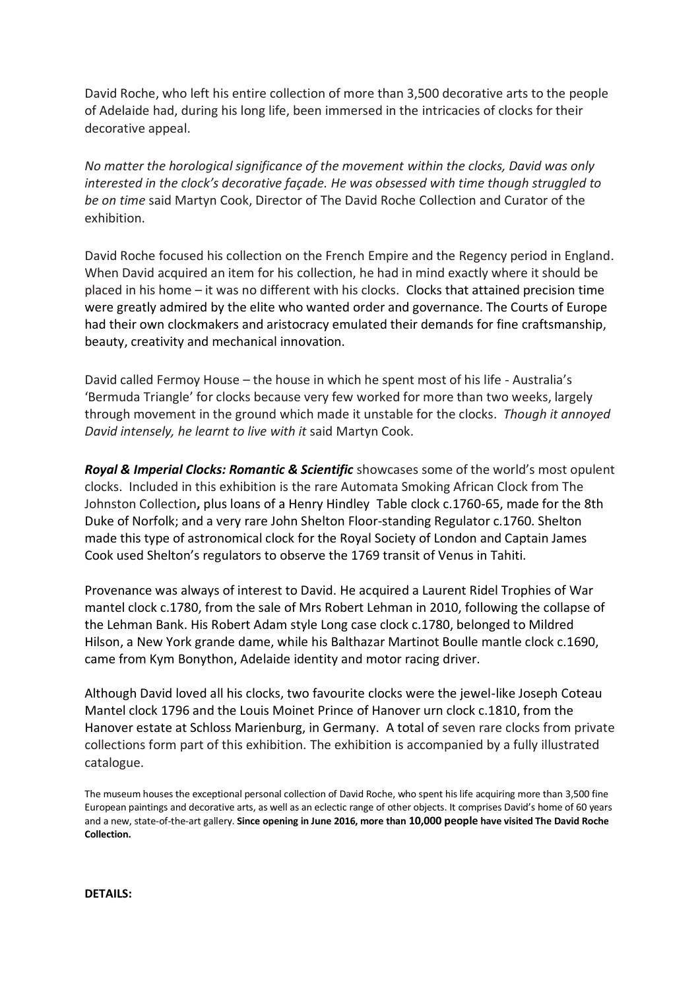David Roche, who left his entire collection of more than 3,500 decorative arts to the people of Adelaide had, during his long life, been immersed in the intricacies of clocks for their decorative appeal.

*No matter the horological significance of the movement within the clocks, David was only interested in the clock's decorative façade. He was obsessed with time though struggled to be on time* said Martyn Cook, Director of The David Roche Collection and Curator of the exhibition.

David Roche focused his collection on the French Empire and the Regency period in England. When David acquired an item for his collection, he had in mind exactly where it should be placed in his home – it was no different with his clocks. Clocks that attained precision time were greatly admired by the elite who wanted order and governance. The Courts of Europe had their own clockmakers and aristocracy emulated their demands for fine craftsmanship, beauty, creativity and mechanical innovation.

David called Fermoy House – the house in which he spent most of his life - Australia's 'Bermuda Triangle' for clocks because very few worked for more than two weeks, largely through movement in the ground which made it unstable for the clocks. *Though it annoyed David intensely, he learnt to live with it* said Martyn Cook.

*Royal & Imperial Clocks: Romantic & Scientific* showcases some of the world's most opulent clocks. Included in this exhibition is the rare Automata Smoking African Clock from The Johnston Collection**,** plus loans of a Henry Hindley Table clock c.1760-65, made for the 8th Duke of Norfolk; and a very rare John Shelton Floor-standing Regulator c.1760. Shelton made this type of astronomical clock for the Royal Society of London and Captain James Cook used Shelton's regulators to observe the 1769 transit of Venus in Tahiti.

Provenance was always of interest to David. He acquired a Laurent Ridel Trophies of War mantel clock c.1780, from the sale of Mrs Robert Lehman in 2010, following the collapse of the Lehman Bank. His Robert Adam style Long case clock c.1780, belonged to Mildred Hilson, a New York grande dame, while his Balthazar Martinot Boulle mantle clock c.1690, came from Kym Bonython, Adelaide identity and motor racing driver.

Although David loved all his clocks, two favourite clocks were the jewel-like Joseph Coteau Mantel clock 1796 and the Louis Moinet Prince of Hanover urn clock c.1810, from the Hanover estate at Schloss Marienburg, in Germany. A total of seven rare clocks from private collections form part of this exhibition. The exhibition is accompanied by a fully illustrated catalogue.

The museum houses the exceptional personal collection of David Roche, who spent his life acquiring more than 3,500 fine European paintings and decorative arts, as well as an eclectic range of other objects. It comprises David's home of 60 years and a new, state-of-the-art gallery. **Since opening in June 2016, more than 10,000 people have visited The David Roche Collection.** 

**DETAILS:**